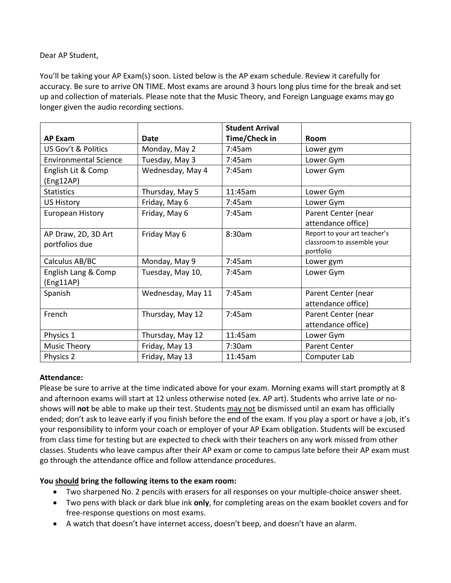### Dear AP Student,

You'll be taking your AP Exam(s) soon. Listed below is the AP exam schedule. Review it carefully for accuracy. Be sure to arrive ON TIME. Most exams are around 3 hours long plus time for the break and set up and collection of materials. Please note that the Music Theory, and Foreign Language exams may go longer given the audio recording sections.

|                                  |                   | <b>Student Arrival</b> |                                         |
|----------------------------------|-------------------|------------------------|-----------------------------------------|
| <b>AP Exam</b>                   | Date              | Time/Check in          | Room                                    |
| US Gov't & Politics              | Monday, May 2     | 7:45am                 | Lower gym                               |
| <b>Environmental Science</b>     | Tuesday, May 3    | 7:45am                 | Lower Gym                               |
| English Lit & Comp<br>(Eng12AP)  | Wednesday, May 4  | 7:45am                 | Lower Gym                               |
| <b>Statistics</b>                | Thursday, May 5   | 11:45am                | Lower Gym                               |
| <b>US History</b>                | Friday, May 6     | 7:45am                 | Lower Gym                               |
| <b>European History</b>          | Friday, May 6     | 7:45am                 | Parent Center (near                     |
|                                  |                   |                        | attendance office)                      |
| AP Draw, 2D, 3D Art              | Friday May 6      | 8:30am                 | Report to your art teacher's            |
| portfolios due                   |                   |                        | classroom to assemble your<br>portfolio |
| Calculus AB/BC                   | Monday, May 9     | 7:45am                 | Lower gym                               |
| English Lang & Comp<br>(Eng11AP) | Tuesday, May 10,  | 7:45am                 | Lower Gym                               |
| Spanish                          | Wednesday, May 11 | 7:45am                 | Parent Center (near                     |
|                                  |                   |                        | attendance office)                      |
| French                           | Thursday, May 12  | 7:45am                 | Parent Center (near                     |
|                                  |                   |                        | attendance office)                      |
| Physics 1                        | Thursday, May 12  | 11:45am                | Lower Gym                               |
| <b>Music Theory</b>              | Friday, May 13    | 7:30am                 | <b>Parent Center</b>                    |
| Physics 2                        | Friday, May 13    | 11:45am                | Computer Lab                            |

### **Attendance:**

Please be sure to arrive at the time indicated above for your exam. Morning exams will start promptly at 8 and afternoon exams will start at 12 unless otherwise noted (ex. AP art). Students who arrive late or noshows will **not** be able to make up their test. Students may not be dismissed until an exam has officially ended; don't ask to leave early if you finish before the end of the exam. If you play a sport or have a job, it's your responsibility to inform your coach or employer of your AP Exam obligation. Students will be excused from class time for testing but are expected to check with their teachers on any work missed from other classes. Students who leave campus after their AP exam or come to campus late before their AP exam must go through the attendance office and follow attendance procedures.

# **You should bring the following items to the exam room:**

- Two sharpened No. 2 pencils with erasers for all responses on your multiple-choice answer sheet.
- Two pens with black or dark blue ink **only**, for completing areas on the exam booklet covers and for free-response questions on most exams.
- A watch that doesn't have internet access, doesn't beep, and doesn't have an alarm.